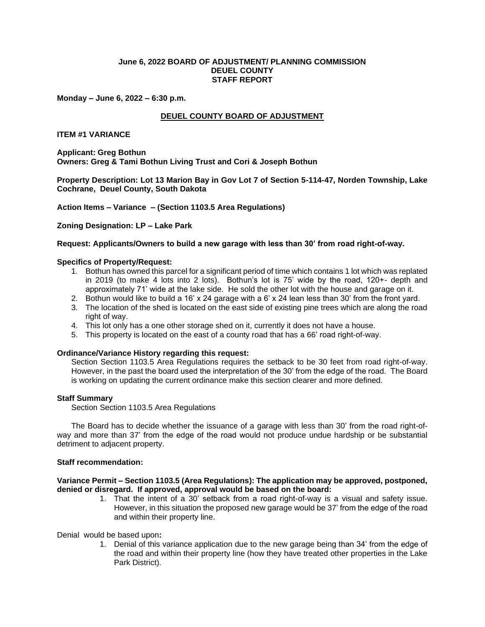## **June 6, 2022 BOARD OF ADJUSTMENT/ PLANNING COMMISSION DEUEL COUNTY STAFF REPORT**

**Monday – June 6, 2022 – 6:30 p.m.**

# **DEUEL COUNTY BOARD OF ADJUSTMENT**

## **ITEM #1 VARIANCE**

**Applicant: Greg Bothun Owners: Greg & Tami Bothun Living Trust and Cori & Joseph Bothun**

**Property Description: Lot 13 Marion Bay in Gov Lot 7 of Section 5-114-47, Norden Township, Lake Cochrane, Deuel County, South Dakota**

**Action Items – Variance – (Section 1103.5 Area Regulations)**

**Zoning Designation: LP – Lake Park**

### **Request: Applicants/Owners to build a new garage with less than 30' from road right-of-way.**

#### **Specifics of Property/Request:**

- 1. Bothun has owned this parcel for a significant period of time which contains 1 lot which was replated in 2019 (to make 4 lots into 2 lots). Bothun's lot is 75' wide by the road, 120+- depth and approximately 71' wide at the lake side. He sold the other lot with the house and garage on it.
- 2. Bothun would like to build a 16' x 24 garage with a 6' x 24 lean less than 30' from the front yard.
- 3. The location of the shed is located on the east side of existing pine trees which are along the road right of way.
- 4. This lot only has a one other storage shed on it, currently it does not have a house.
- 5. This property is located on the east of a county road that has a 66' road right-of-way.

#### **Ordinance/Variance History regarding this request:**

Section Section 1103.5 Area Regulations requires the setback to be 30 feet from road right-of-way. However, in the past the board used the interpretation of the 30' from the edge of the road. The Board is working on updating the current ordinance make this section clearer and more defined.

#### **Staff Summary**

Section Section 1103.5 Area Regulations

The Board has to decide whether the issuance of a garage with less than 30' from the road right-ofway and more than 37' from the edge of the road would not produce undue hardship or be substantial detriment to adjacent property.

### **Staff recommendation:**

## **Variance Permit – Section 1103.5 (Area Regulations): The application may be approved, postponed, denied or disregard. If approved, approval would be based on the board:**

1. That the intent of a 30' setback from a road right-of-way is a visual and safety issue. However, in this situation the proposed new garage would be 37' from the edge of the road and within their property line.

Denialwould be based upon**:**

1. Denial of this variance application due to the new garage being than 34' from the edge of the road and within their property line (how they have treated other properties in the Lake Park District).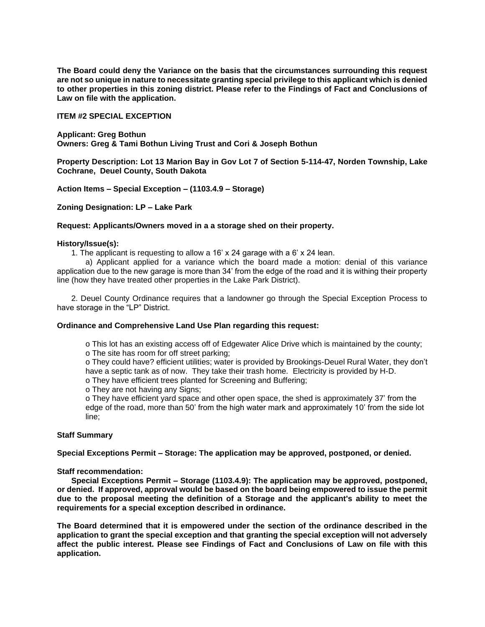**The Board could deny the Variance on the basis that the circumstances surrounding this request are not so unique in nature to necessitate granting special privilege to this applicant which is denied to other properties in this zoning district. Please refer to the Findings of Fact and Conclusions of Law on file with the application.**

## **ITEM #2 SPECIAL EXCEPTION**

**Applicant: Greg Bothun Owners: Greg & Tami Bothun Living Trust and Cori & Joseph Bothun**

**Property Description: Lot 13 Marion Bay in Gov Lot 7 of Section 5-114-47, Norden Township, Lake Cochrane, Deuel County, South Dakota**

**Action Items – Special Exception – (1103.4.9 – Storage)**

**Zoning Designation: LP – Lake Park**

### **Request: Applicants/Owners moved in a a storage shed on their property.**

### **History/Issue(s):**

1. The applicant is requesting to allow a 16' x 24 garage with a 6' x 24 lean.

a) Applicant applied for a variance which the board made a motion: denial of this variance application due to the new garage is more than 34' from the edge of the road and it is withing their property line (how they have treated other properties in the Lake Park District).

2. Deuel County Ordinance requires that a landowner go through the Special Exception Process to have storage in the "LP" District.

### **Ordinance and Comprehensive Land Use Plan regarding this request:**

o This lot has an existing access off of Edgewater Alice Drive which is maintained by the county; o The site has room for off street parking;

o They could have? efficient utilities; water is provided by Brookings-Deuel Rural Water, they don't have a septic tank as of now. They take their trash home. Electricity is provided by H-D.

o They have efficient trees planted for Screening and Buffering;

o They are not having any Signs;

o They have efficient yard space and other open space, the shed is approximately 37' from the edge of the road, more than 50' from the high water mark and approximately 10' from the side lot line;

## **Staff Summary**

**Special Exceptions Permit – Storage: The application may be approved, postponed, or denied.** 

## **Staff recommendation:**

**Special Exceptions Permit – Storage (1103.4.9): The application may be approved, postponed, or denied. If approved, approval would be based on the board being empowered to issue the permit due to the proposal meeting the definition of a Storage and the applicant's ability to meet the requirements for a special exception described in ordinance.** 

**The Board determined that it is empowered under the section of the ordinance described in the application to grant the special exception and that granting the special exception will not adversely affect the public interest. Please see Findings of Fact and Conclusions of Law on file with this application.**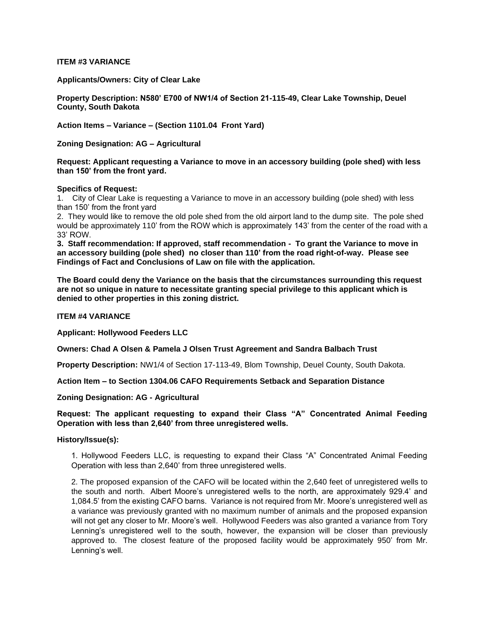## **ITEM #3 VARIANCE**

**Applicants/Owners: City of Clear Lake**

**Property Description: N580' E700 of NW1/4 of Section 21-115-49, Clear Lake Township, Deuel County, South Dakota**

**Action Items – Variance – (Section 1101.04 Front Yard)**

**Zoning Designation: AG – Agricultural**

**Request: Applicant requesting a Variance to move in an accessory building (pole shed) with less than 150' from the front yard.**

### **Specifics of Request:**

1. City of Clear Lake is requesting a Variance to move in an accessory building (pole shed) with less than 150' from the front yard

2. They would like to remove the old pole shed from the old airport land to the dump site. The pole shed would be approximately 110' from the ROW which is approximately 143' from the center of the road with a 33' ROW.

**3. Staff recommendation: If approved, staff recommendation - To grant the Variance to move in an accessory building (pole shed) no closer than 110' from the road right-of-way. Please see Findings of Fact and Conclusions of Law on file with the application.**

**The Board could deny the Variance on the basis that the circumstances surrounding this request are not so unique in nature to necessitate granting special privilege to this applicant which is denied to other properties in this zoning district.**

### **ITEM #4 VARIANCE**

**Applicant: Hollywood Feeders LLC**

**Owners: Chad A Olsen & Pamela J Olsen Trust Agreement and Sandra Balbach Trust**

**Property Description:** NW1/4 of Section 17-113-49, Blom Township, Deuel County, South Dakota.

**Action Item – to Section 1304.06 CAFO Requirements Setback and Separation Distance**

**Zoning Designation: AG - Agricultural** 

# **Request: The applicant requesting to expand their Class "A" Concentrated Animal Feeding Operation with less than 2,640' from three unregistered wells.**

## **History/Issue(s):**

1. Hollywood Feeders LLC, is requesting to expand their Class "A" Concentrated Animal Feeding Operation with less than 2,640' from three unregistered wells.

2. The proposed expansion of the CAFO will be located within the 2,640 feet of unregistered wells to the south and north. Albert Moore's unregistered wells to the north, are approximately 929.4' and 1,084.5' from the existing CAFO barns. Variance is not required from Mr. Moore's unregistered well as a variance was previously granted with no maximum number of animals and the proposed expansion will not get any closer to Mr. Moore's well. Hollywood Feeders was also granted a variance from Tory Lenning's unregistered well to the south, however, the expansion will be closer than previously approved to. The closest feature of the proposed facility would be approximately 950' from Mr. Lenning's well.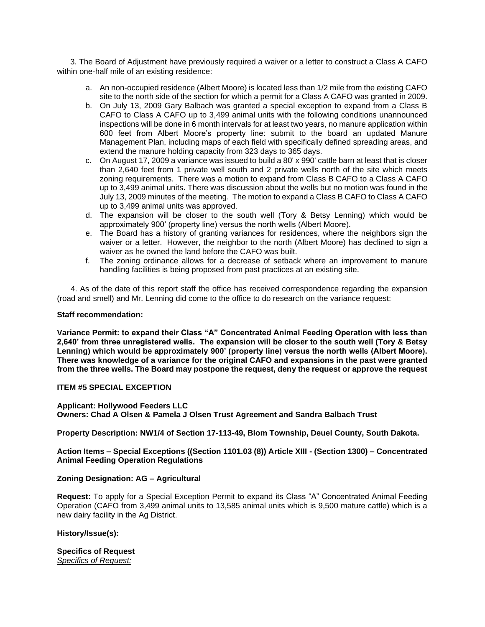3. The Board of Adjustment have previously required a waiver or a letter to construct a Class A CAFO within one-half mile of an existing residence:

- a. An non-occupied residence (Albert Moore) is located less than 1/2 mile from the existing CAFO site to the north side of the section for which a permit for a Class A CAFO was granted in 2009.
- b. On July 13, 2009 Gary Balbach was granted a special exception to expand from a Class B CAFO to Class A CAFO up to 3,499 animal units with the following conditions unannounced inspections will be done in 6 month intervals for at least two years, no manure application within 600 feet from Albert Moore's property line: submit to the board an updated Manure Management Plan, including maps of each field with specifically defined spreading areas, and extend the manure holding capacity from 323 days to 365 days.
- c. On August 17, 2009 a variance was issued to build a 80' x 990' cattle barn at least that is closer than 2,640 feet from 1 private well south and 2 private wells north of the site which meets zoning requirements. There was a motion to expand from Class B CAFO to a Class A CAFO up to 3,499 animal units. There was discussion about the wells but no motion was found in the July 13, 2009 minutes of the meeting. The motion to expand a Class B CAFO to Class A CAFO up to 3,499 animal units was approved.
- d. The expansion will be closer to the south well (Tory & Betsy Lenning) which would be approximately 900' (property line) versus the north wells (Albert Moore).
- e. The Board has a history of granting variances for residences, where the neighbors sign the waiver or a letter. However, the neighbor to the north (Albert Moore) has declined to sign a waiver as he owned the land before the CAFO was built.
- f. The zoning ordinance allows for a decrease of setback where an improvement to manure handling facilities is being proposed from past practices at an existing site.

 4. As of the date of this report staff the office has received correspondence regarding the expansion (road and smell) and Mr. Lenning did come to the office to do research on the variance request:

### **Staff recommendation:**

**Variance Permit: to expand their Class "A" Concentrated Animal Feeding Operation with less than 2,640' from three unregistered wells. The expansion will be closer to the south well (Tory & Betsy Lenning) which would be approximately 900' (property line) versus the north wells (Albert Moore). There was knowledge of a variance for the original CAFO and expansions in the past were granted from the three wells. The Board may postpone the request, deny the request or approve the request**

# **ITEM #5 SPECIAL EXCEPTION**

**Applicant: Hollywood Feeders LLC Owners: Chad A Olsen & Pamela J Olsen Trust Agreement and Sandra Balbach Trust**

**Property Description: NW1/4 of Section 17-113-49, Blom Township, Deuel County, South Dakota.**

**Action Items – Special Exceptions ((Section 1101.03 (8)) Article XIII - (Section 1300) – Concentrated Animal Feeding Operation Regulations** 

## **Zoning Designation: AG – Agricultural**

**Request:** To apply for a Special Exception Permit to expand its Class "A" Concentrated Animal Feeding Operation (CAFO from 3,499 animal units to 13,585 animal units which is 9,500 mature cattle) which is a new dairy facility in the Ag District.

## **History/Issue(s):**

**Specifics of Request** *Specifics of Request:*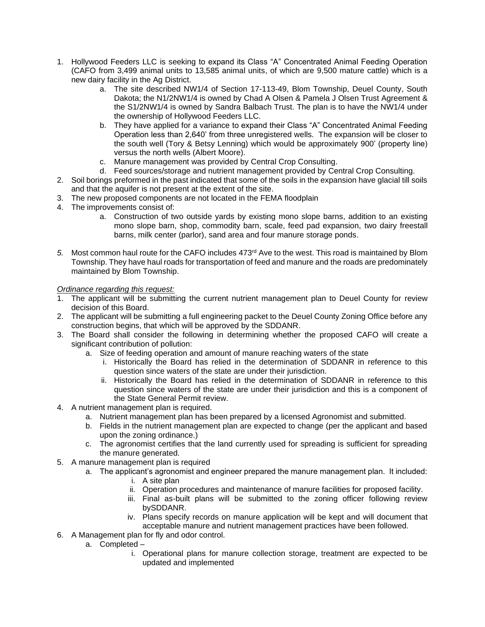- 1. Hollywood Feeders LLC is seeking to expand its Class "A" Concentrated Animal Feeding Operation (CAFO from 3,499 animal units to 13,585 animal units, of which are 9,500 mature cattle) which is a new dairy facility in the Ag District.
	- a. The site described NW1/4 of Section 17-113-49, Blom Township, Deuel County, South Dakota; the N1/2NW1/4 is owned by Chad A Olsen & Pamela J Olsen Trust Agreement & the S1/2NW1/4 is owned by Sandra Balbach Trust. The plan is to have the NW1/4 under the ownership of Hollywood Feeders LLC.
	- b. They have applied for a variance to expand their Class "A" Concentrated Animal Feeding Operation less than 2,640' from three unregistered wells. The expansion will be closer to the south well (Tory & Betsy Lenning) which would be approximately 900' (property line) versus the north wells (Albert Moore).
	- c. Manure management was provided by Central Crop Consulting.
	- d. Feed sources/storage and nutrient management provided by Central Crop Consulting.
- 2. Soil borings preformed in the past indicated that some of the soils in the expansion have glacial till soils and that the aquifer is not present at the extent of the site.
- 3. The new proposed components are not located in the FEMA floodplain
- 4. The improvements consist of:
	- a. Construction of two outside yards by existing mono slope barns, addition to an existing mono slope barn, shop, commodity barn, scale, feed pad expansion, two dairy freestall barns, milk center (parlor), sand area and four manure storage ponds.
- 5. Most common haul route for the CAFO includes 473<sup>rd</sup> Ave to the west. This road is maintained by Blom Township. They have haul roads for transportation of feed and manure and the roads are predominately maintained by Blom Township.

# *Ordinance regarding this request:*

- 1. The applicant will be submitting the current nutrient management plan to Deuel County for review decision of this Board.
- 2. The applicant will be submitting a full engineering packet to the Deuel County Zoning Office before any construction begins, that which will be approved by the SDDANR.
- 3. The Board shall consider the following in determining whether the proposed CAFO will create a significant contribution of pollution:
	- a. Size of feeding operation and amount of manure reaching waters of the state
		- i. Historically the Board has relied in the determination of SDDANR in reference to this question since waters of the state are under their jurisdiction.
		- ii. Historically the Board has relied in the determination of SDDANR in reference to this question since waters of the state are under their jurisdiction and this is a component of the State General Permit review.
- 4. A nutrient management plan is required.
	- a. Nutrient management plan has been prepared by a licensed Agronomist and submitted.
	- b. Fields in the nutrient management plan are expected to change (per the applicant and based upon the zoning ordinance.)
	- c. The agronomist certifies that the land currently used for spreading is sufficient for spreading the manure generated.
- 5. A manure management plan is required
	- a. The applicant's agronomist and engineer prepared the manure management plan. It included:
		- i. A site plan
		- ii. Operation procedures and maintenance of manure facilities for proposed facility.
		- iii. Final as-built plans will be submitted to the zoning officer following review bySDDANR.
		- iv. Plans specify records on manure application will be kept and will document that acceptable manure and nutrient management practices have been followed.
- 6. A Management plan for fly and odor control.
	- a. Completed
		- i. Operational plans for manure collection storage, treatment are expected to be updated and implemented